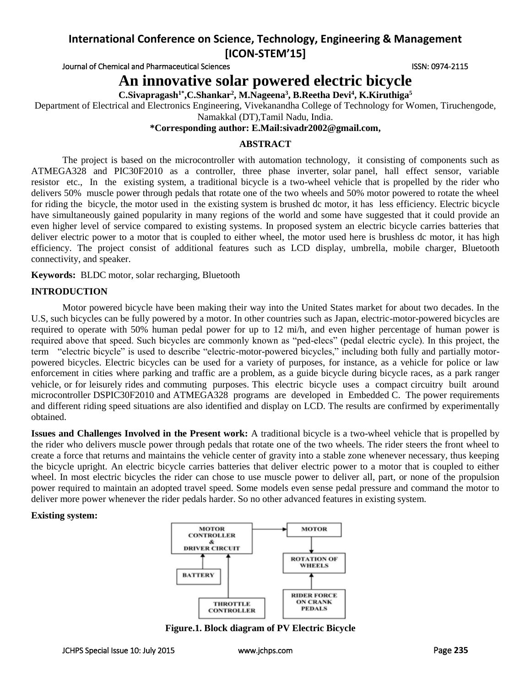# **International Conference on Science, Technology, Engineering & Management [ICON-STEM'15]**

Journal of Chemical and Pharmaceutical Sciences **ISSN: 0974-2115** ISSN: 0974-2115

# **An innovative solar powered electric bicycle**

**C.Sivapragash1\* ,C.Shankar<sup>2</sup> , M.Nageena<sup>3</sup> , B.Reetha Devi<sup>4</sup> , K.Kiruthiga<sup>5</sup>**

Department of Electrical and Electronics Engineering, Vivekanandha College of Technology for Women, Tiruchengode, Namakkal (DT),Tamil Nadu, India.

**\*Corresponding author: E.Mail[:sivadr2002@gmail.com,](mailto:sivadr2002@gmail.com)** 

## **ABSTRACT**

The project is based on the microcontroller with automation technology, it consisting of components such as ATMEGA328 and PIC30F2010 as a controller, three phase inverter, solar panel, hall effect sensor, variable resistor etc., In the existing system, a traditional bicycle is a two-wheel vehicle that is propelled by the rider who delivers 50% muscle power through pedals that rotate one of the two wheels and 50% motor powered to rotate the wheel for riding the bicycle, the motor used in the existing system is brushed dc motor, it has less efficiency. Electric bicycle have simultaneously gained popularity in many regions of the world and some have suggested that it could provide an even higher level of service compared to existing systems. In proposed system an electric bicycle carries batteries that deliver electric power to a motor that is coupled to either wheel, the motor used here is brushless dc motor, it has high efficiency. The project consist of additional features such as LCD display, umbrella, mobile charger, Bluetooth connectivity, and speaker.

**Keywords:** BLDC motor, solar recharging, Bluetooth

## **INTRODUCTION**

Motor powered bicycle have been making their way into the United States market for about two decades. In the U.S, such bicycles can be fully powered by a motor. In other countries such as Japan, electric-motor-powered bicycles are required to operate with 50% human pedal power for up to 12 mi/h, and even higher percentage of human power is required above that speed. Such bicycles are commonly known as "ped-elecs" (pedal electric cycle). In this project, the term "electric bicycle" is used to describe "electric-motor-powered bicycles," including both fully and partially motorpowered bicycles. Electric bicycles can be used for a variety of purposes, for instance, as a vehicle for police or law enforcement in cities where parking and traffic are a problem, as a guide bicycle during bicycle races, as a park ranger vehicle, or for leisurely rides and commuting purposes. This electric bicycle uses a compact circuitry built around microcontroller DSPIC30F2010 and ATMEGA328 programs are developed in Embedded C. The power requirements and different riding speed situations are also identified and display on LCD. The results are confirmed by experimentally obtained.

**Issues and Challenges Involved in the Present work:** A traditional bicycle is a two-wheel vehicle that is propelled by the rider who delivers muscle power through pedals that rotate one of the two wheels. The rider steers the front wheel to create a force that returns and maintains the vehicle center of gravity into a stable zone whenever necessary, thus keeping the bicycle upright. An electric bicycle carries batteries that deliver electric power to a motor that is coupled to either wheel. In most electric bicycles the rider can chose to use muscle power to deliver all, part, or none of the propulsion power required to maintain an adopted travel speed. Some models even sense pedal pressure and command the motor to deliver more power whenever the rider pedals harder. So no other advanced features in existing system.

#### **Existing system:**



**Figure.1. Block diagram of PV Electric Bicycle**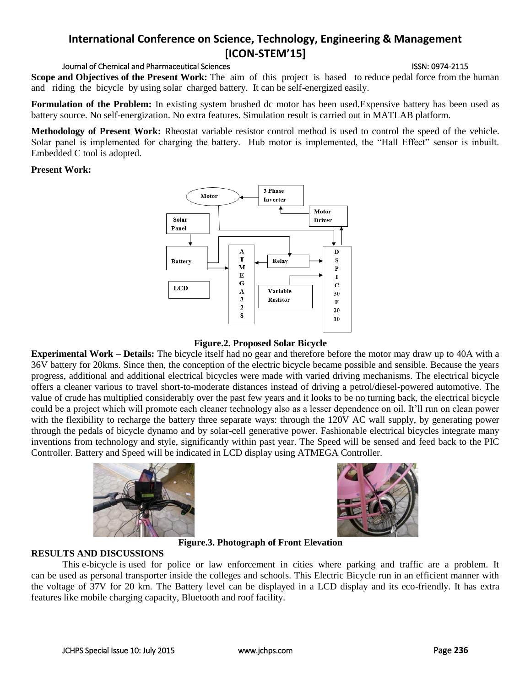#### JCHPS Special Issue 10: July 2015 [www.jchps.com](http://www.jchps.com/) Page **236**

# **International Conference on Science, Technology, Engineering & Management [ICON-STEM'15]**

#### Journal of Chemical and Pharmaceutical Sciences **ISSN: 0974-2115** ISSN: 0974-2115

**Scope and Objectives of the Present Work:** The aim of this project is based to reduce pedal force from the human and riding the bicycle by using solar charged battery. It can be self-energized easily.

**Formulation of the Problem:** In existing system brushed dc motor has been used.Expensive battery has been used as battery source. No self-energization. No extra features. Simulation result is carried out in MATLAB platform.

**Methodology of Present Work:** Rheostat variable resistor control method is used to control the speed of the vehicle. Solar panel is implemented for charging the battery. Hub motor is implemented, the "Hall Effect" sensor is inbuilt. Embedded C tool is adopted.

#### **Present Work:**



# **Figure.2. Proposed Solar Bicycle**

**Experimental Work – Details:** The bicycle itself had no gear and therefore before the motor may draw up to 40A with a 36V battery for 20kms. Since then, the conception of the electric bicycle became possible and sensible. Because the years progress, additional and additional electrical bicycles were made with varied driving mechanisms. The electrical bicycle offers a cleaner various to travel short-to-moderate distances instead of driving a petrol/diesel-powered automotive. The value of crude has multiplied considerably over the past few years and it looks to be no turning back, the electrical bicycle could be a project which will promote each cleaner technology also as a lesser dependence on oil. It'll run on clean power with the flexibility to recharge the battery three separate ways: through the 120V AC wall supply, by generating power through the pedals of bicycle dynamo and by solar-cell generative power. Fashionable electrical bicycles integrate many inventions from technology and style, significantly within past year. The Speed will be sensed and feed back to the PIC Controller. Battery and Speed will be indicated in LCD display using ATMEGA Controller.





**Figure.3. Photograph of Front Elevation** 

## **RESULTS AND DISCUSSIONS**

This e-bicycle is used for police or law enforcement in cities where parking and traffic are a problem. It can be used as personal transporter inside the colleges and schools. This Electric Bicycle run in an efficient manner with the voltage of 37V for 20 km. The Battery level can be displayed in a LCD display and its eco-friendly. It has extra features like mobile charging capacity, Bluetooth and roof facility.